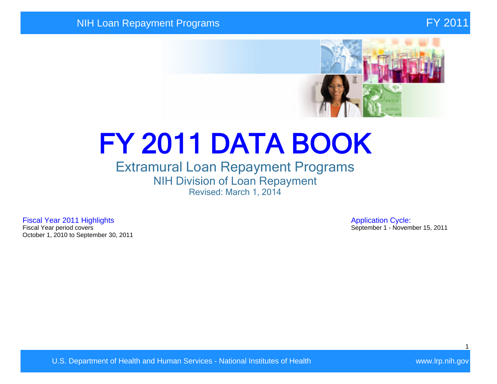#### NIH Loan Repayment Programs FY 2011



# FY 2011 DATA BOOK

## Extramural Loan Repayment Programs NIH Division of Loan Repayment Revised: March 1, 2014

Fiscal Year 2011 Highlights **Application Cycle:**<br>Fiscal Year period covers **Application Cycle:**<br>September 1 - Novem October 1, 2010 to September 30, 2011

September 1 - November 15, 2011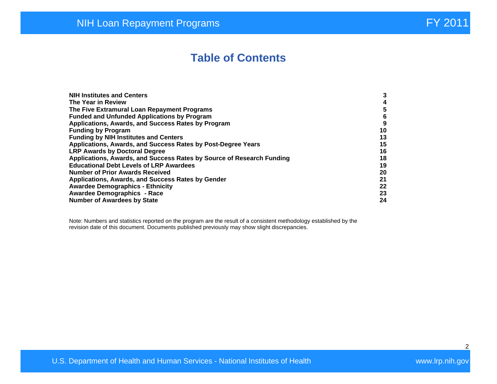## **Table of Contents**

| <b>NIH Institutes and Centers</b>                                     | 3  |
|-----------------------------------------------------------------------|----|
| The Year in Review                                                    | 4  |
|                                                                       |    |
| The Five Extramural Loan Repayment Programs                           | 5  |
| <b>Funded and Unfunded Applications by Program</b>                    | 6  |
| Applications, Awards, and Success Rates by Program                    | 9  |
| <b>Funding by Program</b>                                             | 10 |
| <b>Funding by NIH Institutes and Centers</b>                          | 13 |
| Applications, Awards, and Success Rates by Post-Degree Years          | 15 |
| <b>LRP Awards by Doctoral Degree</b>                                  | 16 |
| Applications, Awards, and Success Rates by Source of Research Funding | 18 |
| <b>Educational Debt Levels of LRP Awardees</b>                        | 19 |
| <b>Number of Prior Awards Received</b>                                | 20 |
| Applications, Awards, and Success Rates by Gender                     | 21 |
| <b>Awardee Demographics - Ethnicity</b>                               | 22 |
| <b>Awardee Demographics - Race</b>                                    | 23 |
| <b>Number of Awardees by State</b>                                    | 24 |

Note: Numbers and statistics reported on the program are the result of a consistent methodology established by the revision date of this document. Documents published previously may show slight discrepancies.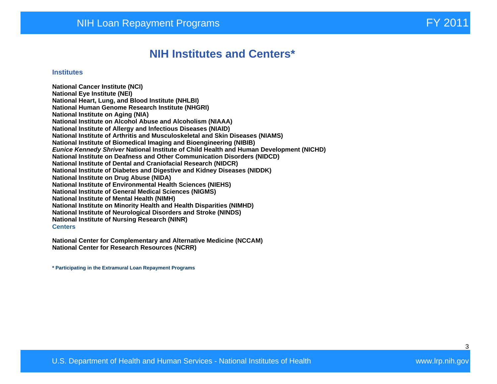## **NIH Institutes and Centers\***

#### **Institutes**

**National Cancer Institute (NCI) National Eye Institute (NEI) National Heart, Lung, and Blood Institute (NHLBI) National Human Genome Research Institute (NHGRI) National Institute on Aging (NIA) National Institute on Alcohol Abuse and Alcoholism (NIAAA) National Institute of Allergy and Infectious Diseases (NIAID) National Institute of Arthritis and Musculoskeletal and Skin Diseases (NIAMS) National Institute of Biomedical Imaging and Bioengineering (NIBIB) Eunice Kennedy Shriver National Institute of Child Health and Human Development (NICHD) National Institute on Deafness and Other Communication Disorders (NIDCD) National Institute of Dental and Craniofacial Research (NIDCR) National Institute of Diabetes and Digestive and Kidney Diseases (NIDDK) National Institute on Drug Abuse (NIDA) National Institute of Environmental Health Sciences (NIEHS) National Institute of General Medical Sciences (NIGMS) National Institute of Mental Health (NIMH) National Institute on Minority Health and Health Disparities (NIMHD) National Institute of Neurological Disorders and Stroke (NINDS) National Institute of Nursing Research (NINR) Centers** 

**National Center for Complementary and Alternative Medicine (NCCAM) National Center for Research Resources (NCRR)** 

**\* Participating in the Extramural Loan Repayment Programs**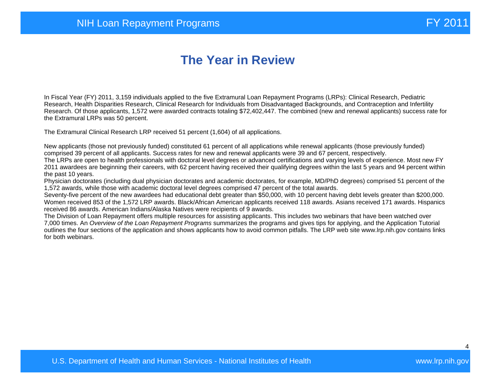## **The Year in Review**

In Fiscal Year (FY) 2011, 3,159 individuals applied to the five Extramural Loan Repayment Programs (LRPs): Clinical Research, Pediatric Research, Health Disparities Research, Clinical Research for Individuals from Disadvantaged Backgrounds, and Contraception and Infertility Research. Of those applicants, 1,572 were awarded contracts totaling \$72,402,447. The combined (new and renewal applicants) success rate for the Extramural LRPs was 50 percent.

The Extramural Clinical Research LRP received 51 percent (1,604) of all applications.

New applicants (those not previously funded) constituted 61 percent of all applications while renewal applicants (those previously funded) comprised 39 percent of all applicants. Success rates for new and renewal applicants were 39 and 67 percent, respectively.

The LRPs are open to health professionals with doctoral level degrees or advanced certifications and varying levels of experience. Most new FY 2011 awardees are beginning their careers, with 62 percent having received their qualifying degrees within the last 5 years and 94 percent within the past 10 years.

Physician doctorates (including dual physician doctorates and academic doctorates, for example, MD/PhD degrees) comprised 51 percent of the 1,572 awards, while those with academic doctoral level degrees comprised 47 percent of the total awards.

Seventy-five percent of the new awardees had educational debt greater than \$50,000, with 10 percent having debt levels greater than \$200,000. Women received 853 of the 1,572 LRP awards. Black/African American applicants received 118 awards. Asians received 171 awards. Hispanics received 86 awards. American Indians/Alaska Natives were recipients of 9 awards.

The Division of Loan Repayment offers multiple resources for assisting applicants. This includes two webinars that have been watched over 7,000 times. An Overview of the Loan Repayment Programs summarizes the programs and gives tips for applying, and the Application Tutorial outlines the four sections of the application and shows applicants how to avoid common pitfalls. The LRP web site www.lrp.nih.gov contains links for both webinars.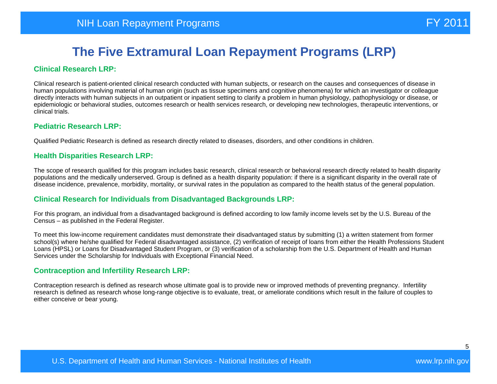#### **Clinical Research LRP:**

Clinical research is patient-oriented clinical research conducted with human subjects, or research on the causes and consequences of disease in human populations involving material of human origin (such as tissue specimens and cognitive phenomena) for which an investigator or colleague directly interacts with human subjects in an outpatient or inpatient setting to clarify a problem in human physiology, pathophysiology or disease, or epidemiologic or behavioral studies, outcomes research or health services research, or developing new technologies, therapeutic interventions, or clinical trials.

#### **Pediatric Research LRP:**

Qualified Pediatric Research is defined as research directly related to diseases, disorders, and other conditions in children.

#### **Health Disparities Research LRP:**

The scope of research qualified for this program includes basic research, clinical research or behavioral research directly related to health disparity populations and the medically underserved. Group is defined as a health disparity population: if there is a significant disparity in the overall rate of disease incidence, prevalence, morbidity, mortality, or survival rates in the population as compared to the health status of the general population.

#### **Clinical Research for Individuals from Disadvantaged Backgrounds LRP:**

For this program, an individual from a disadvantaged background is defined according to low family income levels set by the U.S. Bureau of the Census – as published in the Federal Register.

To meet this low-income requirement candidates must demonstrate their disadvantaged status by submitting (1) a written statement from former school(s) where he/she qualified for Federal disadvantaged assistance, (2) verification of receipt of loans from either the Health Professions Student Loans (HPSL) or Loans for Disadvantaged Student Program, or (3) verification of a scholarship from the U.S. Department of Health and Human Services under the Scholarship for Individuals with Exceptional Financial Need.

#### **Contraception and Infertility Research LRP:**

Contraception research is defined as research whose ultimate goal is to provide new or improved methods of preventing pregnancy. Infertility research is defined as research whose long-range objective is to evaluate, treat, or ameliorate conditions which result in the failure of couples to either conceive or bear young.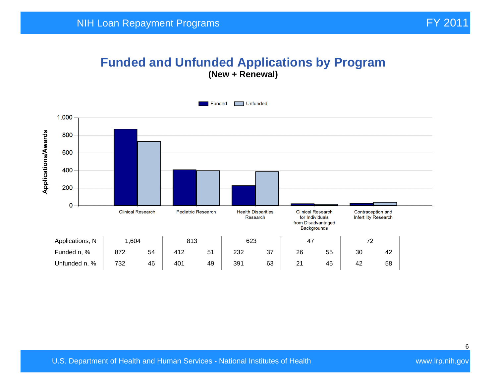# **Funded and Unfunded Applications by Program**

**(New + Renewal)** 

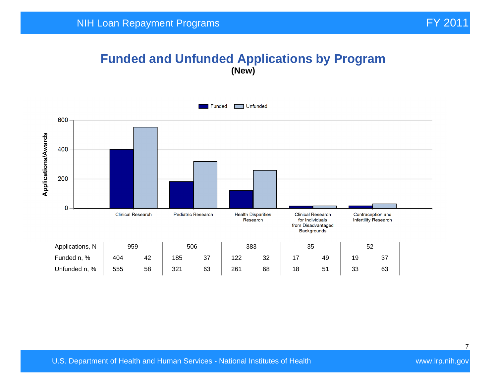## **Funded and Unfunded Applications by Program (New)**

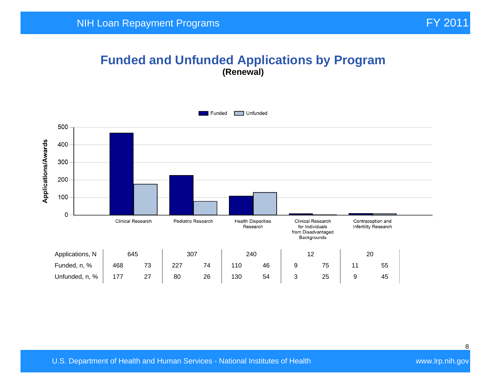#### **Funded and Unfunded Applications by Program (Renewal)**

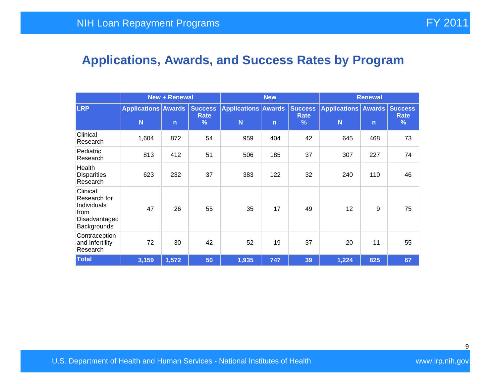# **Applications, Awards, and Success Rates by Program**

|                                                                                 | <b>New + Renewal</b>            |              |                             | <b>New</b>                      |              |                             | <b>Renewal</b>                       |              |                  |
|---------------------------------------------------------------------------------|---------------------------------|--------------|-----------------------------|---------------------------------|--------------|-----------------------------|--------------------------------------|--------------|------------------|
| <b>LRP</b>                                                                      | <b>Applications Awards</b><br>N | $\mathsf{n}$ | <b>Success</b><br>Rate<br>% | <b>Applications Awards</b><br>N | $\mathsf{n}$ | <b>Success</b><br>Rate<br>% | Applications   Awards   Success<br>N | $\mathsf{n}$ | <b>Rate</b><br>% |
| Clinical<br>Research                                                            | 1,604                           | 872          | 54                          | 959                             | 404          | 42                          | 645                                  | 468          | 73               |
| Pediatric<br>Research                                                           | 813                             | 412          | 51                          | 506                             | 185          | 37                          | 307                                  | 227          | 74               |
| Health<br><b>Disparities</b><br>Research                                        | 623                             | 232          | 37                          | 383                             | 122          | 32                          | 240                                  | 110          | 46               |
| Clinical<br>Research for<br>Individuals<br>from<br>Disadvantaged<br>Backgrounds | 47                              | 26           | 55                          | 35                              | 17           | 49                          | 12                                   | 9            | 75               |
| Contraception<br>and Infertility<br>Research                                    | 72                              | 30           | 42                          | 52                              | 19           | 37                          | 20                                   | 11           | 55               |
| <b>Total</b>                                                                    | 3,159                           | 1,572        | 50                          | 1,935                           | 747          | 39                          | 1,224                                | 825          | 67               |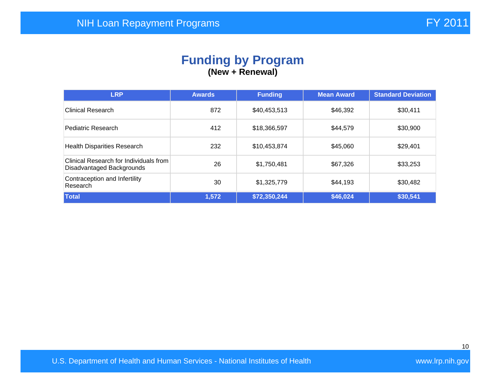#### **Funding by Program (New + Renewal)**

| <b>LRP</b>                                                          | <b>Awards</b> | <b>Funding</b> | <b>Mean Award</b> | <b>Standard Deviation</b> |
|---------------------------------------------------------------------|---------------|----------------|-------------------|---------------------------|
| <b>Clinical Research</b>                                            | 872           | \$40,453,513   | \$46,392          | \$30,411                  |
| Pediatric Research                                                  | 412           | \$18,366,597   | \$44,579          | \$30,900                  |
| <b>Health Disparities Research</b>                                  | 232           | \$10,453,874   | \$45,060          | \$29,401                  |
| Clinical Research for Individuals from<br>Disadvantaged Backgrounds | 26            | \$1,750,481    | \$67,326          | \$33,253                  |
| Contraception and Infertility<br>Research                           | 30            | \$1,325,779    | \$44,193          | \$30,482                  |
| Total                                                               | 1,572         | \$72,350,244   | \$46,024          | \$30,541                  |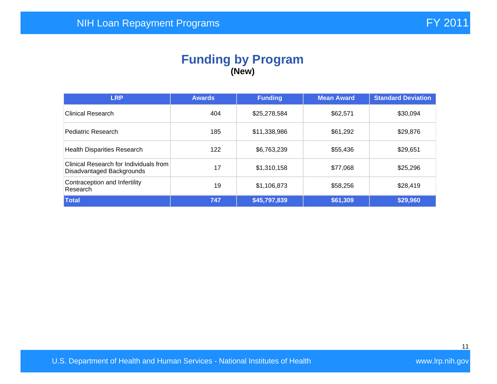#### **Funding by Program (New)**

| <b>LRP</b>                                                          | <b>Awards</b> | <b>Funding</b> | <b>Mean Award</b> | <b>Standard Deviation</b> |
|---------------------------------------------------------------------|---------------|----------------|-------------------|---------------------------|
| <b>Clinical Research</b>                                            | 404           | \$25,278,584   | \$62,571          | \$30,094                  |
| Pediatric Research                                                  | 185           | \$11,338,986   | \$61,292          | \$29,876                  |
| <b>Health Disparities Research</b>                                  | 122           | \$6,763,239    | \$55,436          | \$29,651                  |
| Clinical Research for Individuals from<br>Disadvantaged Backgrounds | 17            | \$1,310,158    | \$77,068          | \$25,296                  |
| Contraception and Infertility<br>Research                           | 19            | \$1,106,873    | \$58,256          | \$28,419                  |
| Total                                                               | 747           | \$45,797,839   | \$61,309          | \$29,960                  |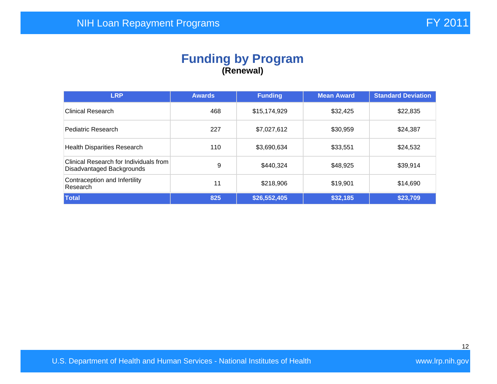#### **Funding by Program (Renewal)**

| <b>LRP</b>                                                          | <b>Awards</b> | <b>Funding</b> | <b>Mean Award</b> | <b>Standard Deviation</b> |
|---------------------------------------------------------------------|---------------|----------------|-------------------|---------------------------|
| <b>Clinical Research</b>                                            | 468           | \$15,174,929   | \$32,425          | \$22,835                  |
| Pediatric Research                                                  | 227           | \$7,027,612    | \$30,959          | \$24,387                  |
| <b>Health Disparities Research</b>                                  | 110           | \$3,690,634    | \$33,551          | \$24,532                  |
| Clinical Research for Individuals from<br>Disadvantaged Backgrounds | 9             | \$440,324      | \$48,925          | \$39,914                  |
| Contraception and Infertility<br>Research                           | 11            | \$218,906      | \$19,901          | \$14,690                  |
| Total                                                               | 825           | \$26,552,405   | \$32,185          | \$23,709                  |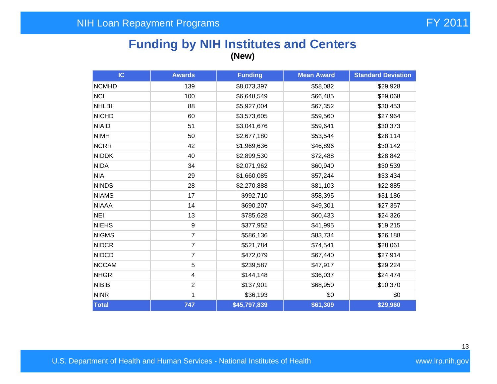## **Funding by NIH Institutes and Centers (New)**

| IC           | <b>Awards</b>           | <b>Funding</b> | <b>Mean Award</b> | <b>Standard Deviation</b> |
|--------------|-------------------------|----------------|-------------------|---------------------------|
| <b>NCMHD</b> | 139                     | \$8,073,397    | \$58,082          | \$29,928                  |
| <b>NCI</b>   | 100                     | \$6,648,549    | \$66,485          | \$29,068                  |
| <b>NHLBI</b> | 88                      | \$5,927,004    | \$67,352          | \$30,453                  |
| <b>NICHD</b> | 60                      | \$3,573,605    | \$59,560          | \$27,964                  |
| <b>NIAID</b> | 51                      | \$3,041,676    | \$59,641          | \$30,373                  |
| <b>NIMH</b>  | 50                      | \$2,677,180    | \$53,544          | \$28,114                  |
| <b>NCRR</b>  | 42                      | \$1,969,636    | \$46,896          | \$30,142                  |
| <b>NIDDK</b> | 40                      | \$2,899,530    | \$72,488          | \$28,842                  |
| <b>NIDA</b>  | 34                      | \$2,071,962    | \$60,940          | \$30,539                  |
| <b>NIA</b>   | 29                      | \$1,660,085    | \$57,244          | \$33,434                  |
| <b>NINDS</b> | 28                      | \$2,270,888    | \$81,103          | \$22,885                  |
| <b>NIAMS</b> | 17                      | \$992,710      | \$58,395          | \$31,186                  |
| <b>NIAAA</b> | 14                      | \$690,207      | \$49,301          | \$27,357                  |
| <b>NEI</b>   | 13                      | \$785,628      | \$60,433          | \$24,326                  |
| <b>NIEHS</b> | 9                       | \$377,952      | \$41,995          | \$19,215                  |
| <b>NIGMS</b> | $\overline{7}$          | \$586,136      | \$83,734          | \$26,188                  |
| <b>NIDCR</b> | $\overline{7}$          | \$521,784      | \$74,541          | \$28,061                  |
| <b>NIDCD</b> | $\overline{7}$          | \$472,079      | \$67,440          | \$27,914                  |
| <b>NCCAM</b> | 5                       | \$239,587      | \$47,917          | \$29,224                  |
| <b>NHGRI</b> | $\overline{\mathbf{4}}$ | \$144,148      | \$36,037          | \$24,474                  |
| <b>NIBIB</b> | $\overline{2}$          | \$137,901      | \$68,950          | \$10,370                  |
| <b>NINR</b>  | 1                       | \$36,193       | \$0               | \$0                       |
| Total        | 747                     | \$45,797,839   | \$61,309          | \$29,960                  |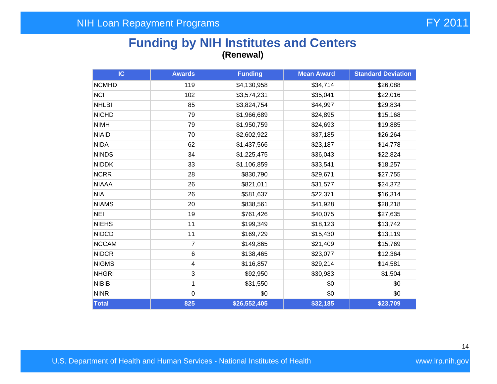#### **Funding by NIH Institutes and Centers (Renewal)**

| IC           | <b>Awards</b>  | <b>Funding</b> | <b>Mean Award</b> | <b>Standard Deviation</b> |
|--------------|----------------|----------------|-------------------|---------------------------|
| <b>NCMHD</b> | 119            | \$4,130,958    | \$34,714          | \$26,088                  |
| <b>NCI</b>   | 102            | \$3,574,231    | \$35,041          | \$22,016                  |
| <b>NHLBI</b> | 85             | \$3,824,754    | \$44,997          | \$29,834                  |
| <b>NICHD</b> | 79             | \$1,966,689    | \$24,895          | \$15,168                  |
| <b>NIMH</b>  | 79             | \$1,950,759    | \$24,693          | \$19,885                  |
| <b>NIAID</b> | 70             | \$2,602,922    | \$37,185          | \$26,264                  |
| <b>NIDA</b>  | 62             | \$1,437,566    | \$23,187          | \$14,778                  |
| <b>NINDS</b> | 34             | \$1,225,475    | \$36,043          | \$22,824                  |
| <b>NIDDK</b> | 33             | \$1,106,859    | \$33,541          | \$18,257                  |
| <b>NCRR</b>  | 28             | \$830,790      | \$29,671          | \$27,755                  |
| <b>NIAAA</b> | 26             | \$821,011      | \$31,577          | \$24,372                  |
| <b>NIA</b>   | 26             | \$581,637      | \$22,371          | \$16,314                  |
| <b>NIAMS</b> | 20             | \$838,561      | \$41,928          | \$28,218                  |
| <b>NEI</b>   | 19             | \$761,426      | \$40,075          | \$27,635                  |
| <b>NIEHS</b> | 11             | \$199,349      | \$18,123          | \$13,742                  |
| <b>NIDCD</b> | 11             | \$169,729      | \$15,430          | \$13,119                  |
| <b>NCCAM</b> | $\overline{7}$ | \$149,865      | \$21,409          | \$15,769                  |
| <b>NIDCR</b> | $\,6$          | \$138,465      | \$23,077          | \$12,364                  |
| <b>NIGMS</b> | $\overline{4}$ | \$116,857      | \$29,214          | \$14,581                  |
| <b>NHGRI</b> | 3              | \$92,950       | \$30,983          | \$1,504                   |
| <b>NIBIB</b> | 1              | \$31,550       | \$0               | \$0                       |
| <b>NINR</b>  | $\mathbf 0$    | \$0            | \$0               | \$0                       |
| Total        | 825            | \$26,552,405   | \$32,185          | \$23,709                  |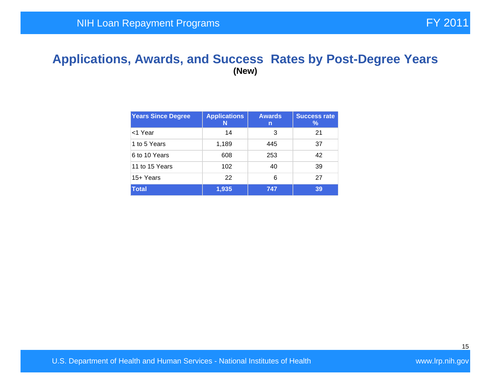#### **Applications, Awards, and Success Rates by Post-Degree Years (New)**

| <b>Years Since Degree</b> | <b>Applications</b><br>N | <b>Awards</b><br>n | <b>Success rate</b><br>℅ |
|---------------------------|--------------------------|--------------------|--------------------------|
| <1 Year                   | 14                       | 3                  | 21                       |
| 1 to 5 Years              | 1,189                    | 445                | 37                       |
| 6 to 10 Years             | 608                      | 253                | 42                       |
| 11 to 15 Years            | 102                      | 40                 | 39                       |
| 15+ Years                 | 22                       | 6                  | 27                       |
| <b>Total</b>              | 1,935                    | 747                | 39                       |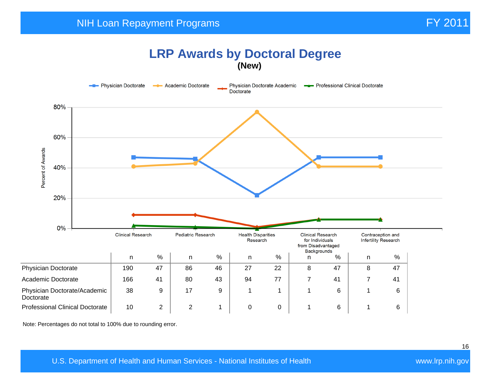#### **LRP Awards by Doctoral Degree (New)**



Note: Percentages do not total to 100% due to rounding error.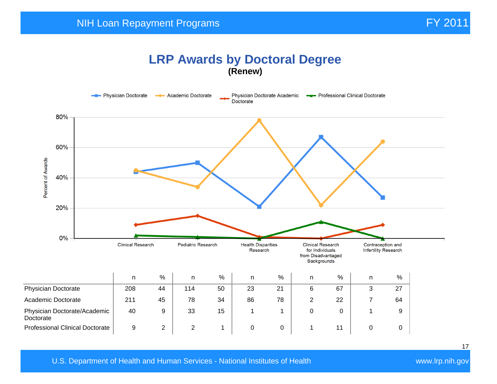## **LRP Awards by Doctoral Degree (Renew)**

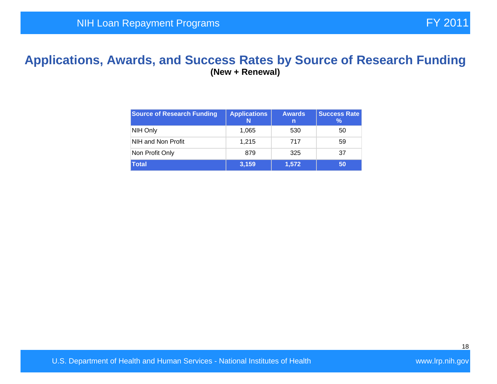#### **Applications, Awards, and Success Rates by Source of Research Funding (New + Renewal)**

| <b>Source of Research Funding</b> | <b>Applications</b><br>N | <b>Awards</b><br>n | <b>Success Rate</b><br>℅ |
|-----------------------------------|--------------------------|--------------------|--------------------------|
| NIH Only                          | 1,065                    | 530                | 50                       |
| NIH and Non Profit                | 1.215                    | 717                | 59                       |
| Non Profit Only                   | 879                      | 325                | 37                       |
| <b>Total</b>                      | 3,159                    | 1,572              | 50                       |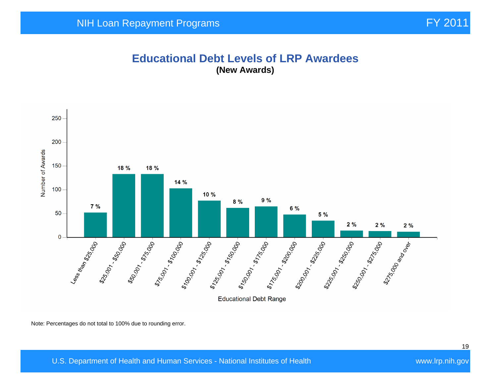#### **Educational Debt Levels of LRP Awardees (New Awards)**



Note: Percentages do not total to 100% due to rounding error.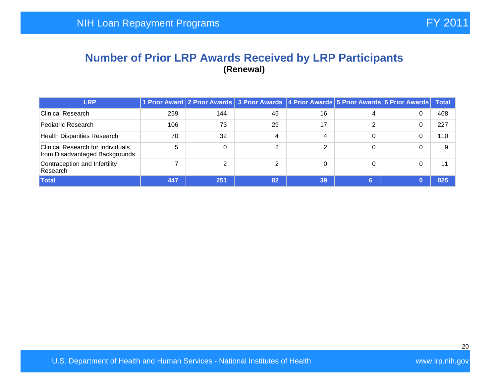#### **Number of Prior LRP Awards Received by LRP Participants (Renewal)**

| <b>LRP</b>                                                                 |     |     | 1 Prior Award 2 Prior Awards 3 Prior Awards 4 Prior Awards 5 Prior Awards 6 Prior Awards |          |   |   | <b>Total</b> |
|----------------------------------------------------------------------------|-----|-----|------------------------------------------------------------------------------------------|----------|---|---|--------------|
| Clinical Research                                                          | 259 | 144 | 45                                                                                       | 16       | 4 | 0 | 468          |
| Pediatric Research                                                         | 106 | 73  | 29                                                                                       | 17       | ⌒ | 0 | 227          |
| <b>Health Disparities Research</b>                                         | 70  | 32  | 4                                                                                        | 4        | 0 |   | 110          |
| <b>Clinical Research for Individuals</b><br>from Disadvantaged Backgrounds | 5   |     |                                                                                          | ◠        | 0 |   | g            |
| Contraception and Infertility<br>Research                                  |     | ⌒   |                                                                                          | $\Omega$ | 0 |   | 11           |
| Total                                                                      | 447 | 251 | 82                                                                                       | 39       | 6 |   | 825          |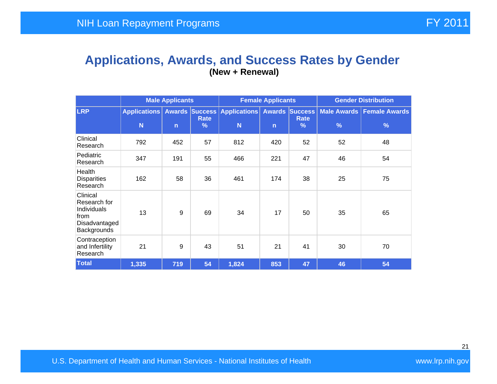#### **Applications, Awards, and Success Rates by Gender (New + Renewal)**

|                                                                                 | <b>Male Applicants</b>   |              |                       | <b>Female Applicants</b>                               |              |                     | <b>Gender Distribution</b> |                                              |  |
|---------------------------------------------------------------------------------|--------------------------|--------------|-----------------------|--------------------------------------------------------|--------------|---------------------|----------------------------|----------------------------------------------|--|
| LRP.                                                                            | <b>Applications</b><br>N | $\mathsf{n}$ | Rate<br>$\frac{9}{6}$ | <b>Awards Success Applications Awards Success</b><br>N | $\mathsf{n}$ | <b>Rate</b><br>$\%$ | $\frac{9}{6}$              | Male Awards   Female Awards<br>$\frac{9}{6}$ |  |
| Clinical<br>Research                                                            | 792                      | 452          | 57                    | 812                                                    | 420          | 52                  | 52                         | 48                                           |  |
| Pediatric<br>Research                                                           | 347                      | 191          | 55                    | 466                                                    | 221          | 47                  | 46                         | 54                                           |  |
| Health<br><b>Disparities</b><br>Research                                        | 162                      | 58           | 36                    | 461                                                    | 174          | 38                  | 25                         | 75                                           |  |
| Clinical<br>Research for<br>Individuals<br>from<br>Disadvantaged<br>Backgrounds | 13                       | 9            | 69                    | 34                                                     | 17           | 50                  | 35                         | 65                                           |  |
| Contraception<br>and Infertility<br>Research                                    | 21                       | 9            | 43                    | 51                                                     | 21           | 41                  | 30                         | 70                                           |  |
| <b>Total</b>                                                                    | 1,335                    | 719          | 54                    | 1,824                                                  | 853          | 47                  | 46                         | 54                                           |  |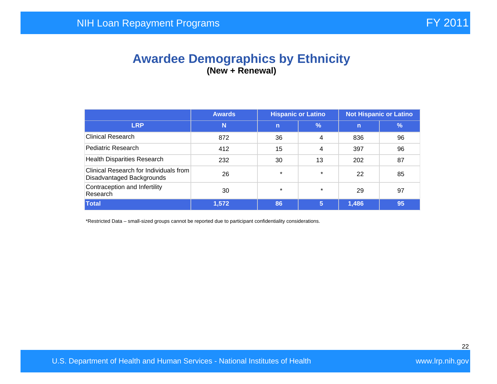## **Awardee Demographics by Ethnicity (New + Renewal)**

|                                                                     | <b>Hispanic or Latino</b><br><b>Not Hispanic or Latino</b><br><b>Awards</b> |              |               |       |               |
|---------------------------------------------------------------------|-----------------------------------------------------------------------------|--------------|---------------|-------|---------------|
| <b>LRP</b>                                                          | N                                                                           | $\mathsf{n}$ | $\frac{9}{6}$ | n     | $\frac{9}{6}$ |
| <b>Clinical Research</b>                                            | 872                                                                         | 36           | 4             | 836   | 96            |
| Pediatric Research                                                  | 412                                                                         | 15           | 4             | 397   | 96            |
| <b>Health Disparities Research</b>                                  | 232                                                                         | 30           | 13            | 202   | 87            |
| Clinical Research for Individuals from<br>Disadvantaged Backgrounds | 26                                                                          | $\star$      | $\star$       | 22    | 85            |
| Contraception and Infertility<br>Research                           | 30                                                                          | $\star$      | $\star$       | 29    | 97            |
| <b>Total</b>                                                        | 1,572                                                                       | 86           | 5             | 1,486 | 95            |

\*Restricted Data – small-sized groups cannot be reported due to participant confidentiality considerations.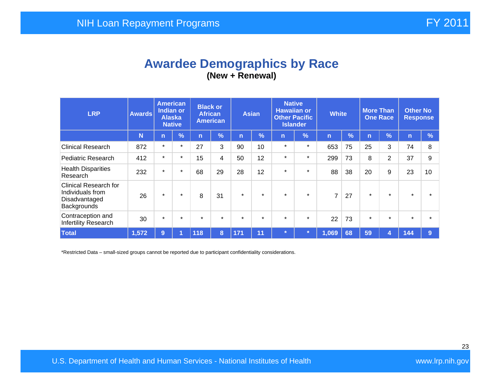## **Awardee Demographics by Race (New + Renewal)**

| <b>LRP</b>                                                                       | <b>Awards</b> | <b>American</b><br><b>Indian or</b><br><b>Alaska</b><br><b>Native</b> |            | <b>Black or</b><br><b>African</b><br><b>American</b> |         | <b>Asian</b> |            | <b>Native</b><br><b>Hawaiian or</b><br><b>Other Pacific</b><br><b>Islander</b> |               | <b>White</b>   |               | <b>More Than</b><br><b>One Race</b> |               | <b>Other No</b><br><b>Response</b> |               |
|----------------------------------------------------------------------------------|---------------|-----------------------------------------------------------------------|------------|------------------------------------------------------|---------|--------------|------------|--------------------------------------------------------------------------------|---------------|----------------|---------------|-------------------------------------|---------------|------------------------------------|---------------|
|                                                                                  | N             | $\mathsf{n}$                                                          | $\sqrt{2}$ | n                                                    | %       | n            | $\sqrt{2}$ | $\mathsf{n}$                                                                   | $\frac{9}{6}$ | n              | $\frac{9}{6}$ | n                                   | $\frac{1}{2}$ | $\mathsf{n}$                       | $\frac{9}{6}$ |
| <b>Clinical Research</b>                                                         | 872           | $\star$                                                               | $\ast$     | 27                                                   | 3       | 90           | 10         | $\star$                                                                        | $\star$       | 653            | 75            | 25                                  | 3             | 74                                 | 8             |
| <b>Pediatric Research</b>                                                        | 412           | $\star$                                                               | $\star$    | 15                                                   | 4       | 50           | 12         | $\star$                                                                        | $\star$       | 299            | 73            | 8                                   | 2             | 37                                 | 9             |
| <b>Health Disparities</b><br>Research                                            | 232           | $\star$                                                               | $\star$    | 68                                                   | 29      | 28           | 12         | $\star$                                                                        | $\star$       | 88             | 38            | 20                                  | 9             | 23                                 | 10            |
| <b>Clinical Research for</b><br>Individuals from<br>Disadvantaged<br>Backgrounds | 26            | $\star$                                                               | $\star$    | 8                                                    | 31      | $\star$      | $\star$    | $\star$                                                                        | $\star$       | $\overline{7}$ | 27            | $\star$                             | $\star$       | $\star$                            |               |
| Contraception and<br>Infertility Research                                        | 30            | $\star$                                                               | $\star$    | $\star$                                              | $\star$ | $\star$      | $\star$    | $\star$                                                                        | $\star$       | 22             | 73            | $\star$                             | $\star$       | $\star$                            |               |
| <b>Total</b>                                                                     | 1,572         | 9                                                                     |            | 118                                                  | 8       | 171          | 11         | $\star$                                                                        |               | 1,069          | 68            | 59                                  | 4             | 144                                | 9             |

\*Restricted Data – small-sized groups cannot be reported due to participant confidentiality considerations.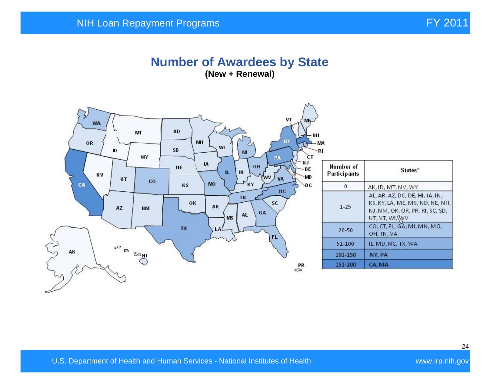#### **Number of Awardees by State (New + Renewal)**